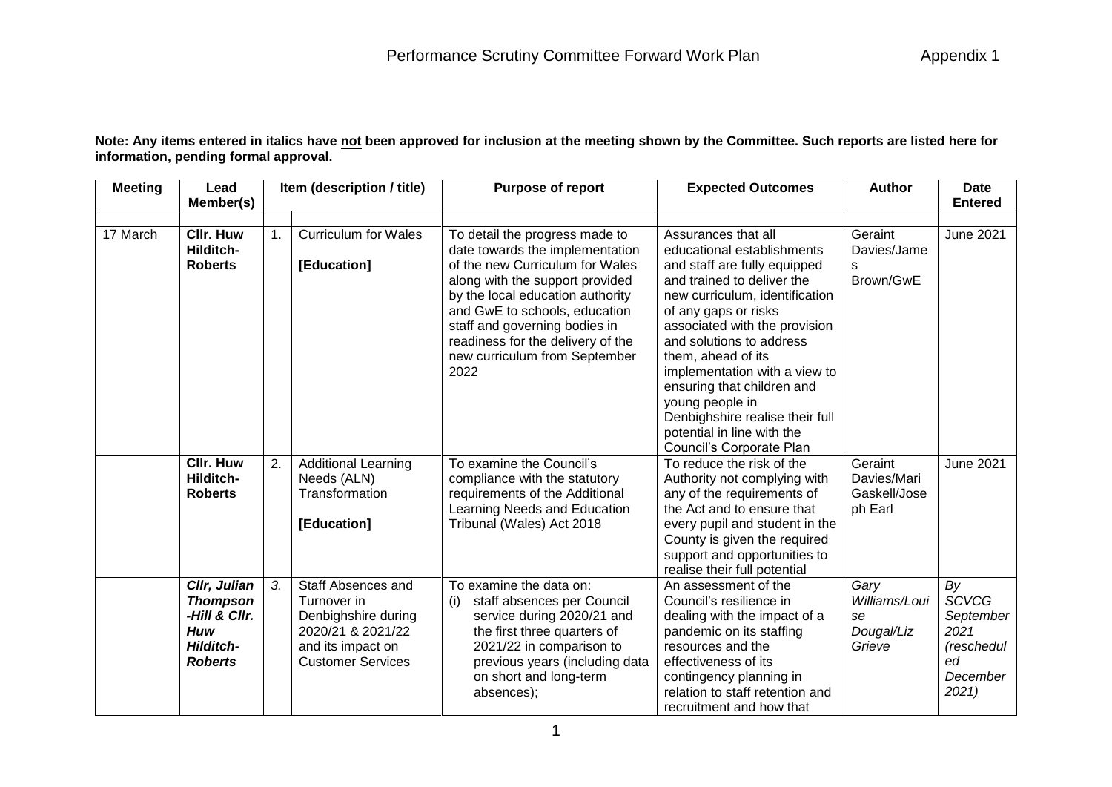**Note: Any items entered in italics have not been approved for inclusion at the meeting shown by the Committee. Such reports are listed here for information, pending formal approval.**

| <b>Meeting</b> | Lead                                                                                                 | Item (description / title) |                                                                                                                                | <b>Purpose of report</b>                                                                                                                                                                                                                                                                                                    | <b>Expected Outcomes</b>                                                                                                                                                                                                                                                                                                                                                                                                                    | <b>Author</b>                                       | Date                                                                            |  |
|----------------|------------------------------------------------------------------------------------------------------|----------------------------|--------------------------------------------------------------------------------------------------------------------------------|-----------------------------------------------------------------------------------------------------------------------------------------------------------------------------------------------------------------------------------------------------------------------------------------------------------------------------|---------------------------------------------------------------------------------------------------------------------------------------------------------------------------------------------------------------------------------------------------------------------------------------------------------------------------------------------------------------------------------------------------------------------------------------------|-----------------------------------------------------|---------------------------------------------------------------------------------|--|
|                | Member(s)                                                                                            |                            |                                                                                                                                |                                                                                                                                                                                                                                                                                                                             |                                                                                                                                                                                                                                                                                                                                                                                                                                             |                                                     | <b>Entered</b>                                                                  |  |
| 17 March       | <b>CIIr. Huw</b><br>Hilditch-<br><b>Roberts</b>                                                      | $\mathbf{1}$ .             | <b>Curriculum for Wales</b><br>[Education]                                                                                     | To detail the progress made to<br>date towards the implementation<br>of the new Curriculum for Wales<br>along with the support provided<br>by the local education authority<br>and GwE to schools, education<br>staff and governing bodies in<br>readiness for the delivery of the<br>new curriculum from September<br>2022 | Assurances that all<br>educational establishments<br>and staff are fully equipped<br>and trained to deliver the<br>new curriculum, identification<br>of any gaps or risks<br>associated with the provision<br>and solutions to address<br>them, ahead of its<br>implementation with a view to<br>ensuring that children and<br>young people in<br>Denbighshire realise their full<br>potential in line with the<br>Council's Corporate Plan | Geraint<br>Davies/Jame<br>s<br>Brown/GwE            | <b>June 2021</b>                                                                |  |
|                | <b>CIIr. Huw</b><br>Hilditch-<br><b>Roberts</b>                                                      | 2.                         | <b>Additional Learning</b><br>Needs (ALN)<br>Transformation<br>[Education]                                                     | To examine the Council's<br>compliance with the statutory<br>requirements of the Additional<br>Learning Needs and Education<br>Tribunal (Wales) Act 2018                                                                                                                                                                    | To reduce the risk of the<br>Authority not complying with<br>any of the requirements of<br>the Act and to ensure that<br>every pupil and student in the<br>County is given the required<br>support and opportunities to<br>realise their full potential                                                                                                                                                                                     | Geraint<br>Davies/Mari<br>Gaskell/Jose<br>ph Earl   | <b>June 2021</b>                                                                |  |
|                | Cllr, Julian<br><b>Thompson</b><br>-Hill & Cllr.<br><b>Huw</b><br><b>Hilditch-</b><br><b>Roberts</b> | 3.                         | Staff Absences and<br>Turnover in<br>Denbighshire during<br>2020/21 & 2021/22<br>and its impact on<br><b>Customer Services</b> | To examine the data on:<br>staff absences per Council<br>(i)<br>service during 2020/21 and<br>the first three quarters of<br>2021/22 in comparison to<br>previous years (including data<br>on short and long-term<br>absences);                                                                                             | An assessment of the<br>Council's resilience in<br>dealing with the impact of a<br>pandemic on its staffing<br>resources and the<br>effectiveness of its<br>contingency planning in<br>relation to staff retention and<br>recruitment and how that                                                                                                                                                                                          | Gary<br>Williams/Loui<br>se<br>Dougal/Liz<br>Grieve | By<br><b>SCVCG</b><br>September<br>2021<br>(reschedul<br>ed<br>December<br>2021 |  |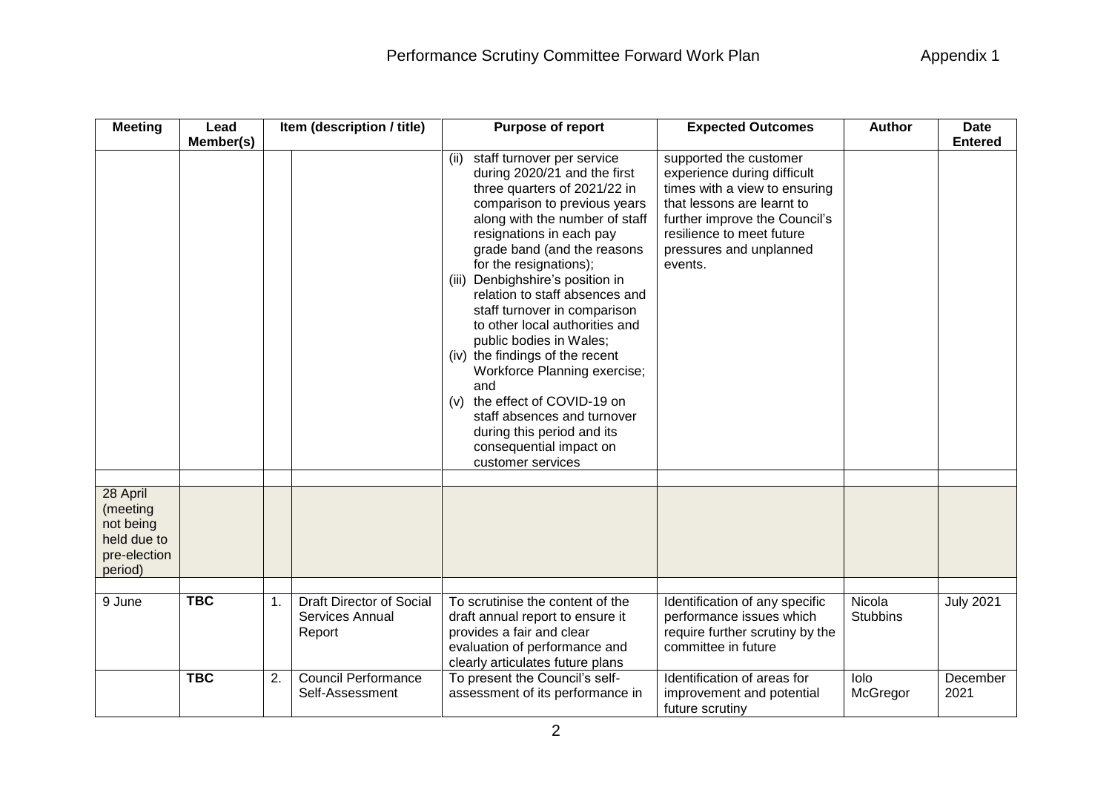| <b>Meeting</b>                                                              | Lead       | Item (description / title) |                                                       | Purpose of report                                                                                                                                                                                                                                                                                                                                                                                                                                                                                                                                                                                                                                          | <b>Expected Outcomes</b>                                                                                                                                                                                                 | <b>Author</b>             | <b>Date</b>      |
|-----------------------------------------------------------------------------|------------|----------------------------|-------------------------------------------------------|------------------------------------------------------------------------------------------------------------------------------------------------------------------------------------------------------------------------------------------------------------------------------------------------------------------------------------------------------------------------------------------------------------------------------------------------------------------------------------------------------------------------------------------------------------------------------------------------------------------------------------------------------------|--------------------------------------------------------------------------------------------------------------------------------------------------------------------------------------------------------------------------|---------------------------|------------------|
|                                                                             | Member(s)  |                            |                                                       |                                                                                                                                                                                                                                                                                                                                                                                                                                                                                                                                                                                                                                                            |                                                                                                                                                                                                                          |                           | <b>Entered</b>   |
|                                                                             |            |                            |                                                       | staff turnover per service<br>(ii)<br>during 2020/21 and the first<br>three quarters of 2021/22 in<br>comparison to previous years<br>along with the number of staff<br>resignations in each pay<br>grade band (and the reasons<br>for the resignations);<br>Denbighshire's position in<br>(iii)<br>relation to staff absences and<br>staff turnover in comparison<br>to other local authorities and<br>public bodies in Wales;<br>(iv) the findings of the recent<br>Workforce Planning exercise;<br>and<br>the effect of COVID-19 on<br>(v)<br>staff absences and turnover<br>during this period and its<br>consequential impact on<br>customer services | supported the customer<br>experience during difficult<br>times with a view to ensuring<br>that lessons are learnt to<br>further improve the Council's<br>resilience to meet future<br>pressures and unplanned<br>events. |                           |                  |
|                                                                             |            |                            |                                                       |                                                                                                                                                                                                                                                                                                                                                                                                                                                                                                                                                                                                                                                            |                                                                                                                                                                                                                          |                           |                  |
| 28 April<br>(meeting<br>not being<br>held due to<br>pre-election<br>period) |            |                            |                                                       |                                                                                                                                                                                                                                                                                                                                                                                                                                                                                                                                                                                                                                                            |                                                                                                                                                                                                                          |                           |                  |
|                                                                             |            |                            |                                                       |                                                                                                                                                                                                                                                                                                                                                                                                                                                                                                                                                                                                                                                            |                                                                                                                                                                                                                          |                           |                  |
| 9 June                                                                      | <b>TBC</b> | 1.                         | Draft Director of Social<br>Services Annual<br>Report | To scrutinise the content of the<br>draft annual report to ensure it<br>provides a fair and clear<br>evaluation of performance and<br>clearly articulates future plans                                                                                                                                                                                                                                                                                                                                                                                                                                                                                     | Identification of any specific<br>performance issues which<br>require further scrutiny by the<br>committee in future                                                                                                     | Nicola<br><b>Stubbins</b> | <b>July 2021</b> |
|                                                                             | <b>TBC</b> | 2.                         | <b>Council Performance</b><br>Self-Assessment         | To present the Council's self-<br>assessment of its performance in                                                                                                                                                                                                                                                                                                                                                                                                                                                                                                                                                                                         | Identification of areas for<br>improvement and potential<br>future scrutiny                                                                                                                                              | lolo<br>McGregor          | December<br>2021 |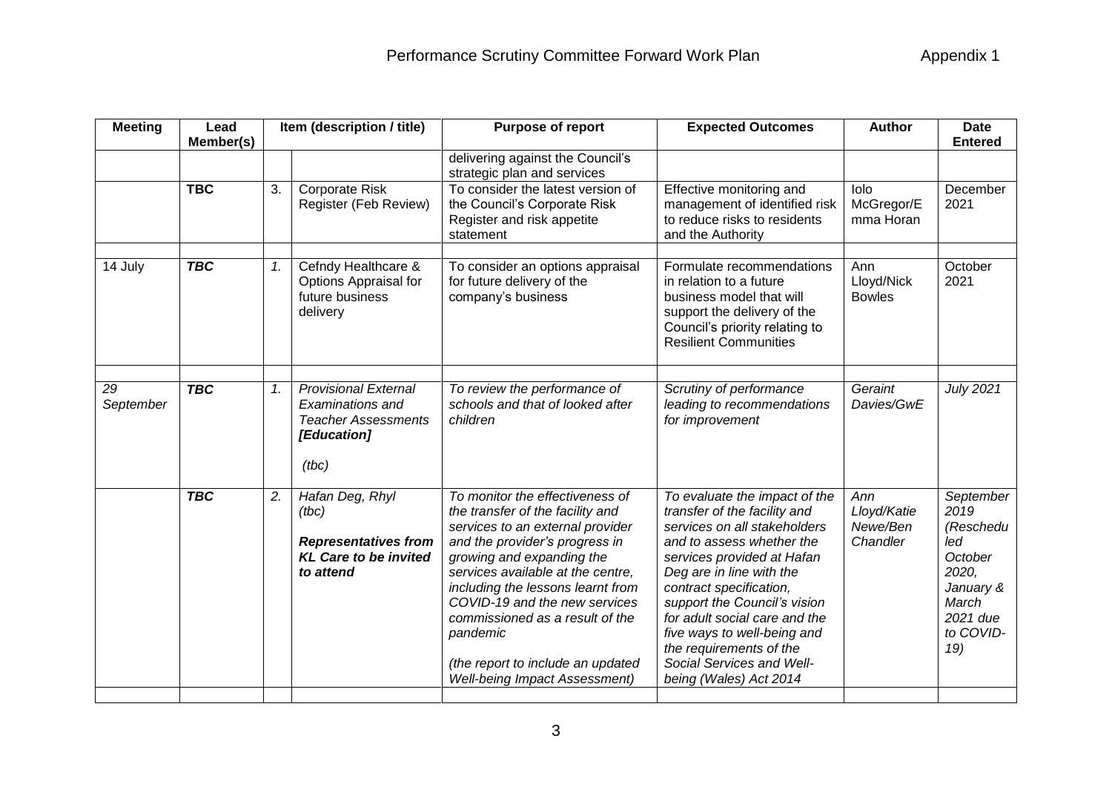| <b>Meeting</b><br>Lead |           | Item (description / title)                                                                            | Purpose of report                                                                                                                                                                                                                                                                                                                                                                                             | <b>Expected Outcomes</b>                                                                                                                                                                                                                                                                                                                                                                          | <b>Author</b>                              | <b>Date</b>                                                                                                     |
|------------------------|-----------|-------------------------------------------------------------------------------------------------------|---------------------------------------------------------------------------------------------------------------------------------------------------------------------------------------------------------------------------------------------------------------------------------------------------------------------------------------------------------------------------------------------------------------|---------------------------------------------------------------------------------------------------------------------------------------------------------------------------------------------------------------------------------------------------------------------------------------------------------------------------------------------------------------------------------------------------|--------------------------------------------|-----------------------------------------------------------------------------------------------------------------|
|                        |           |                                                                                                       | delivering against the Council's                                                                                                                                                                                                                                                                                                                                                                              |                                                                                                                                                                                                                                                                                                                                                                                                   |                                            | <b>Entered</b>                                                                                                  |
| <b>TBC</b>             | 3.        | <b>Corporate Risk</b><br>Register (Feb Review)                                                        | To consider the latest version of<br>the Council's Corporate Risk<br>Register and risk appetite<br>statement                                                                                                                                                                                                                                                                                                  | Effective monitoring and<br>management of identified risk<br>to reduce risks to residents<br>and the Authority                                                                                                                                                                                                                                                                                    | lolo<br>McGregor/E<br>mma Horan            | December<br>2021                                                                                                |
| <b>TBC</b>             | 1.        | Cefndy Healthcare &<br>Options Appraisal for<br>future business<br>delivery                           | To consider an options appraisal<br>for future delivery of the<br>company's business                                                                                                                                                                                                                                                                                                                          | Formulate recommendations<br>in relation to a future<br>business model that will<br>support the delivery of the<br>Council's priority relating to<br><b>Resilient Communities</b>                                                                                                                                                                                                                 | Ann<br>Lloyd/Nick<br><b>Bowles</b>         | October<br>2021                                                                                                 |
| <b>TBC</b>             | 1.        | <b>Provisional External</b><br>Examinations and<br><b>Teacher Assessments</b><br>[Education]<br>(tbc) | To review the performance of<br>schools and that of looked after<br>children                                                                                                                                                                                                                                                                                                                                  | Scrutiny of performance<br>leading to recommendations<br>for improvement                                                                                                                                                                                                                                                                                                                          | Geraint<br>Davies/GwE                      | <b>July 2021</b>                                                                                                |
| <b>TBC</b>             | 2.        | Hafan Deg, Rhyl<br>(tbc)<br><b>Representatives from</b><br><b>KL Care to be invited</b><br>to attend  | To monitor the effectiveness of<br>the transfer of the facility and<br>services to an external provider<br>and the provider's progress in<br>growing and expanding the<br>services available at the centre,<br>including the lessons learnt from<br>COVID-19 and the new services<br>commissioned as a result of the<br>pandemic<br>(the report to include an updated<br><b>Well-being Impact Assessment)</b> | To evaluate the impact of the<br>transfer of the facility and<br>services on all stakeholders<br>and to assess whether the<br>services provided at Hafan<br>Deg are in line with the<br>contract specification,<br>support the Council's vision<br>for adult social care and the<br>five ways to well-being and<br>the requirements of the<br>Social Services and Well-<br>being (Wales) Act 2014 | Ann<br>Lloyd/Katie<br>Newe/Ben<br>Chandler | September<br>2019<br>(Reschedu<br>led<br>October<br>2020,<br>January &<br>March<br>2021 due<br>to COVID-<br>19) |
|                        | Member(s) |                                                                                                       |                                                                                                                                                                                                                                                                                                                                                                                                               | strategic plan and services                                                                                                                                                                                                                                                                                                                                                                       |                                            |                                                                                                                 |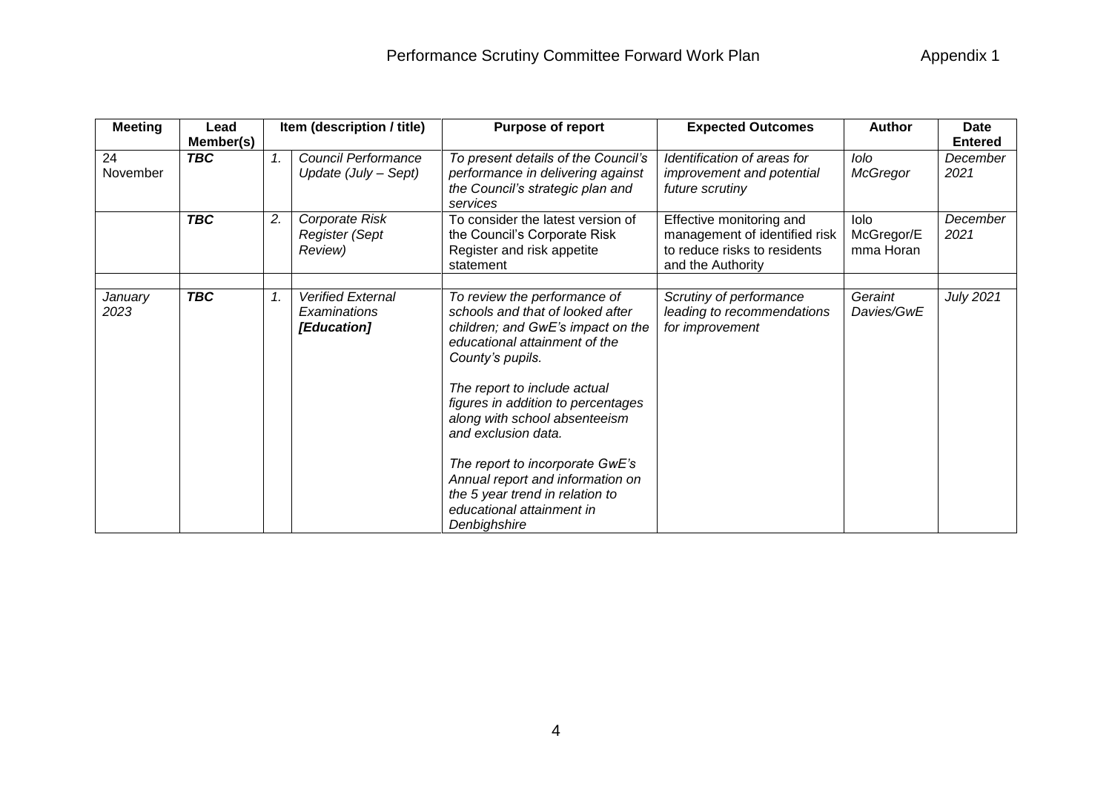| <b>Meeting</b>  | Lead<br>Member(s) |    | Item (description / title)                              | <b>Purpose of report</b>                                                                                                                                                                                                                                                                                                                                                                                                                        | <b>Expected Outcomes</b>                                                                                       | <b>Author</b>                          | <b>Date</b><br><b>Entered</b> |
|-----------------|-------------------|----|---------------------------------------------------------|-------------------------------------------------------------------------------------------------------------------------------------------------------------------------------------------------------------------------------------------------------------------------------------------------------------------------------------------------------------------------------------------------------------------------------------------------|----------------------------------------------------------------------------------------------------------------|----------------------------------------|-------------------------------|
| 24<br>November  | <b>TBC</b>        |    | Council Performance<br>Update (July - Sept)             | To present details of the Council's<br>performance in delivering against<br>the Council's strategic plan and<br>services                                                                                                                                                                                                                                                                                                                        | Identification of areas for<br>improvement and potential<br>future scrutiny                                    | lolo<br>McGregor                       | December<br>2021              |
|                 | <b>TBC</b>        | 2. | Corporate Risk<br>Register (Sept<br>Review)             | To consider the latest version of<br>the Council's Corporate Risk<br>Register and risk appetite<br>statement                                                                                                                                                                                                                                                                                                                                    | Effective monitoring and<br>management of identified risk<br>to reduce risks to residents<br>and the Authority | <b>lolo</b><br>McGregor/E<br>mma Horan | December<br>2021              |
| January<br>2023 | <b>TBC</b>        | 1. | <b>Verified External</b><br>Examinations<br>[Education] | To review the performance of<br>schools and that of looked after<br>children; and GwE's impact on the<br>educational attainment of the<br>County's pupils.<br>The report to include actual<br>figures in addition to percentages<br>along with school absenteeism<br>and exclusion data.<br>The report to incorporate GwE's<br>Annual report and information on<br>the 5 year trend in relation to<br>educational attainment in<br>Denbighshire | Scrutiny of performance<br>leading to recommendations<br>for improvement                                       | Geraint<br>Davies/GwE                  | July 2021                     |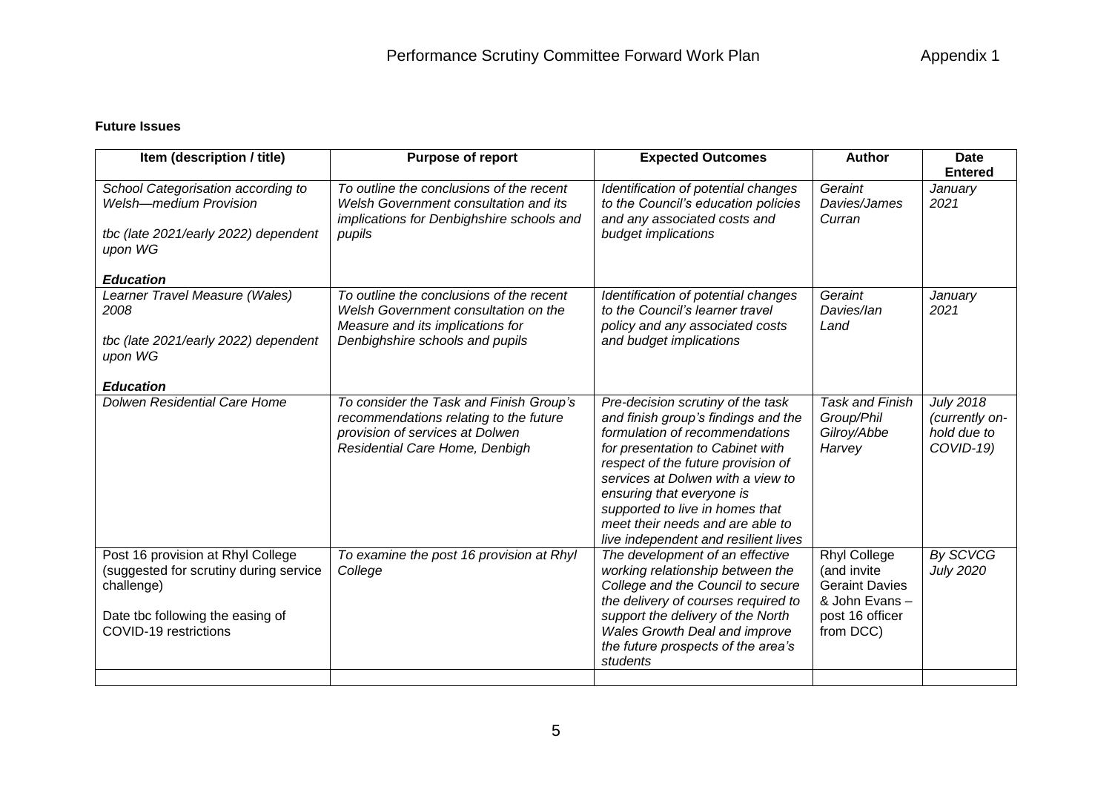## **Future Issues**

| Item (description / title)                                                                                                                             | Purpose of report                                                                                                                                       | <b>Expected Outcomes</b>                                                                                                                                                                                                                                                                                                                                              | <b>Author</b>                                                                                                | <b>Date</b>                                                    |
|--------------------------------------------------------------------------------------------------------------------------------------------------------|---------------------------------------------------------------------------------------------------------------------------------------------------------|-----------------------------------------------------------------------------------------------------------------------------------------------------------------------------------------------------------------------------------------------------------------------------------------------------------------------------------------------------------------------|--------------------------------------------------------------------------------------------------------------|----------------------------------------------------------------|
| School Categorisation according to<br><b>Welsh-medium Provision</b><br>tbc (late 2021/early 2022) dependent<br>upon WG                                 | To outline the conclusions of the recent<br>Welsh Government consultation and its<br>implications for Denbighshire schools and<br>pupils                | Identification of potential changes<br>to the Council's education policies<br>and any associated costs and<br>budget implications                                                                                                                                                                                                                                     | Geraint<br>Davies/James<br>Curran                                                                            | <b>Entered</b><br>January<br>2021                              |
| <b>Education</b>                                                                                                                                       |                                                                                                                                                         |                                                                                                                                                                                                                                                                                                                                                                       |                                                                                                              |                                                                |
| Learner Travel Measure (Wales)<br>2008<br>tbc (late 2021/early 2022) dependent<br>upon WG                                                              | To outline the conclusions of the recent<br>Welsh Government consultation on the<br>Measure and its implications for<br>Denbighshire schools and pupils | Identification of potential changes<br>to the Council's learner travel<br>policy and any associated costs<br>and budget implications                                                                                                                                                                                                                                  | Geraint<br>Davies/lan<br>Land                                                                                | January<br>2021                                                |
| <b>Education</b>                                                                                                                                       |                                                                                                                                                         |                                                                                                                                                                                                                                                                                                                                                                       |                                                                                                              |                                                                |
| Dolwen Residential Care Home                                                                                                                           | To consider the Task and Finish Group's<br>recommendations relating to the future<br>provision of services at Dolwen<br>Residential Care Home, Denbigh  | Pre-decision scrutiny of the task<br>and finish group's findings and the<br>formulation of recommendations<br>for presentation to Cabinet with<br>respect of the future provision of<br>services at Dolwen with a view to<br>ensuring that everyone is<br>supported to live in homes that<br>meet their needs and are able to<br>live independent and resilient lives | <b>Task and Finish</b><br>Group/Phil<br>Gilroy/Abbe<br>Harvey                                                | <b>July 2018</b><br>(currently on-<br>hold due to<br>COVID-19) |
| Post 16 provision at Rhyl College<br>(suggested for scrutiny during service<br>challenge)<br>Date tbc following the easing of<br>COVID-19 restrictions | To examine the post 16 provision at Rhyl<br>College                                                                                                     | The development of an effective<br>working relationship between the<br>College and the Council to secure<br>the delivery of courses required to<br>support the delivery of the North<br><b>Wales Growth Deal and improve</b><br>the future prospects of the area's<br>students                                                                                        | <b>Rhyl College</b><br>(and invite<br><b>Geraint Davies</b><br>& John Evans-<br>post 16 officer<br>from DCC) | By SCVCG<br><b>July 2020</b>                                   |
|                                                                                                                                                        |                                                                                                                                                         |                                                                                                                                                                                                                                                                                                                                                                       |                                                                                                              |                                                                |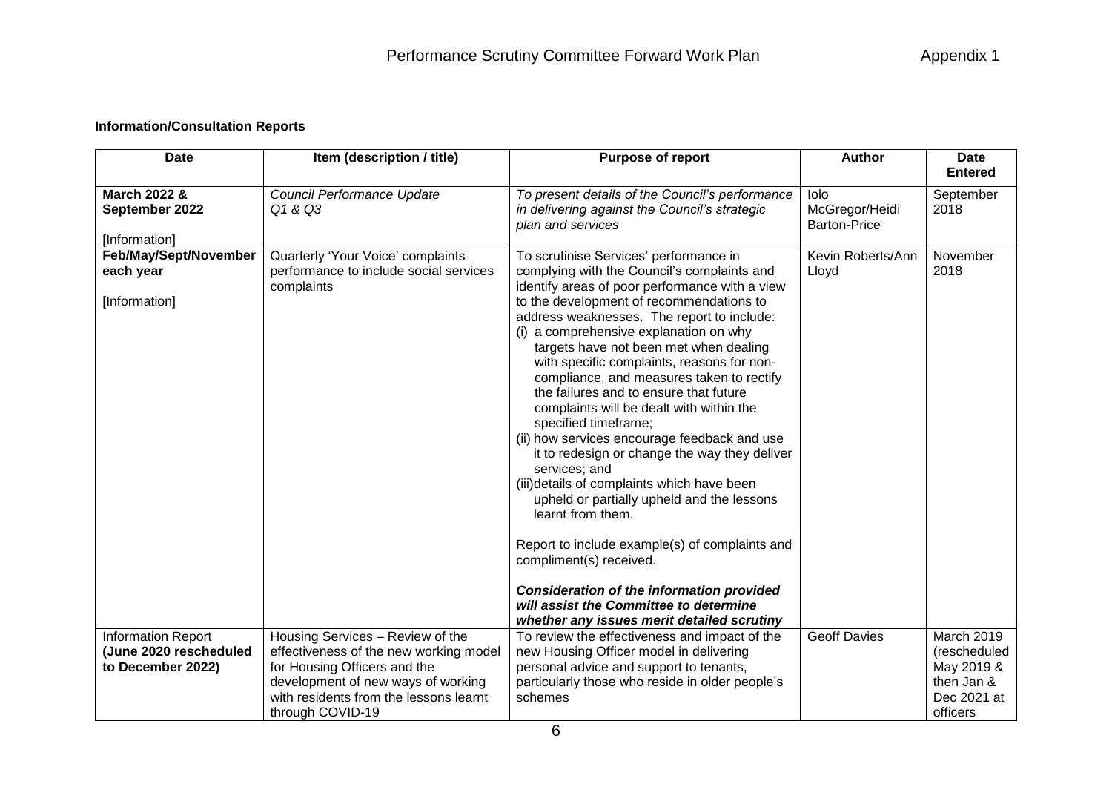## **Information/Consultation Reports**

| <b>Date</b>                                     | Item (description / title)                                 | <b>Purpose of report</b>                                                                                                                                                                                                                                                                                                                                                                                                                                                                                                                                                                                                                                                                                                                                                                                                                        | <b>Author</b>                                 | <b>Date</b>             |
|-------------------------------------------------|------------------------------------------------------------|-------------------------------------------------------------------------------------------------------------------------------------------------------------------------------------------------------------------------------------------------------------------------------------------------------------------------------------------------------------------------------------------------------------------------------------------------------------------------------------------------------------------------------------------------------------------------------------------------------------------------------------------------------------------------------------------------------------------------------------------------------------------------------------------------------------------------------------------------|-----------------------------------------------|-------------------------|
|                                                 |                                                            |                                                                                                                                                                                                                                                                                                                                                                                                                                                                                                                                                                                                                                                                                                                                                                                                                                                 |                                               | <b>Entered</b>          |
| March 2022 &<br>September 2022<br>[Information] | Council Performance Update<br>Q1 & Q3                      | To present details of the Council's performance<br>in delivering against the Council's strategic<br>plan and services                                                                                                                                                                                                                                                                                                                                                                                                                                                                                                                                                                                                                                                                                                                           | lolo<br>McGregor/Heidi<br><b>Barton-Price</b> | September<br>2018       |
| Feb/May/Sept/November                           | Quarterly 'Your Voice' complaints                          | To scrutinise Services' performance in                                                                                                                                                                                                                                                                                                                                                                                                                                                                                                                                                                                                                                                                                                                                                                                                          | Kevin Roberts/Ann                             | November                |
| each year                                       | performance to include social services<br>complaints       | complying with the Council's complaints and<br>identify areas of poor performance with a view                                                                                                                                                                                                                                                                                                                                                                                                                                                                                                                                                                                                                                                                                                                                                   | Lloyd                                         | 2018                    |
| [Information]                                   |                                                            | to the development of recommendations to<br>address weaknesses. The report to include:<br>(i) a comprehensive explanation on why<br>targets have not been met when dealing<br>with specific complaints, reasons for non-<br>compliance, and measures taken to rectify<br>the failures and to ensure that future<br>complaints will be dealt with within the<br>specified timeframe;<br>(ii) how services encourage feedback and use<br>it to redesign or change the way they deliver<br>services; and<br>(iii)details of complaints which have been<br>upheld or partially upheld and the lessons<br>learnt from them.<br>Report to include example(s) of complaints and<br>compliment(s) received.<br><b>Consideration of the information provided</b><br>will assist the Committee to determine<br>whether any issues merit detailed scrutiny |                                               |                         |
| <b>Information Report</b>                       | Housing Services - Review of the                           | To review the effectiveness and impact of the                                                                                                                                                                                                                                                                                                                                                                                                                                                                                                                                                                                                                                                                                                                                                                                                   | <b>Geoff Davies</b>                           | March 2019              |
| (June 2020 rescheduled                          | effectiveness of the new working model                     | new Housing Officer model in delivering                                                                                                                                                                                                                                                                                                                                                                                                                                                                                                                                                                                                                                                                                                                                                                                                         |                                               | (rescheduled            |
| to December 2022)                               | for Housing Officers and the                               | personal advice and support to tenants,                                                                                                                                                                                                                                                                                                                                                                                                                                                                                                                                                                                                                                                                                                                                                                                                         |                                               | May 2019 &              |
|                                                 | development of new ways of working                         | particularly those who reside in older people's                                                                                                                                                                                                                                                                                                                                                                                                                                                                                                                                                                                                                                                                                                                                                                                                 |                                               | then Jan &              |
|                                                 | with residents from the lessons learnt<br>through COVID-19 | schemes                                                                                                                                                                                                                                                                                                                                                                                                                                                                                                                                                                                                                                                                                                                                                                                                                                         |                                               | Dec 2021 at<br>officers |